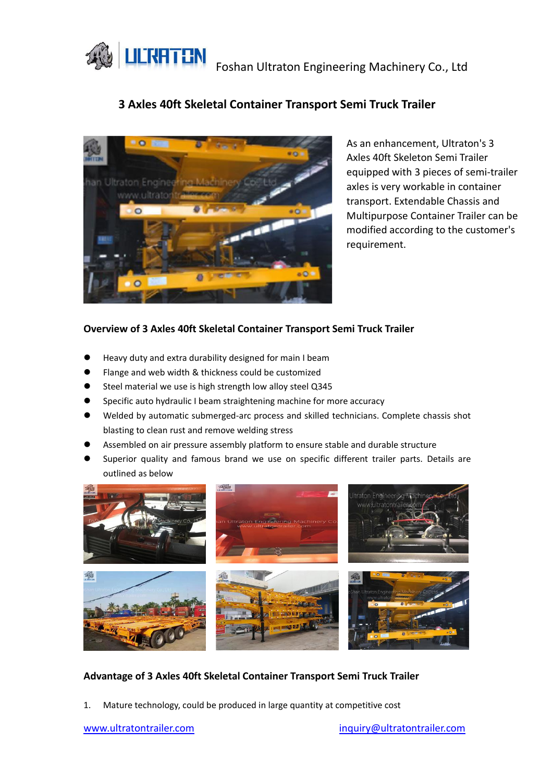**LILTY TEN** Foshan Ultraton Engineering Machinery Co., Ltd

# **3 Axles 40ft Skeletal Container Transport Semi Truck Trailer**



As an enhancement, Ultraton's 3 Axles 40ft Skeleton Semi Trailer equipped with 3 pieces of semi-trailer axles is very workable in container transport. Extendable Chassis and Multipurpose Container Trailer can be modified according to the customer's requirement.

### **Overview of 3 Axles 40ft Skeletal Container Transport Semi Truck Trailer**

- Heavy duty and extra durability designed for main I beam
- Flange and web width & thickness could be customized
- Steel material we use is high strength low alloy steel Q345
- Specific auto hydraulic I beam straightening machine for more accuracy
- Welded by automatic submerged-arc process and skilled technicians. Complete chassis shot blasting to clean rust and remove welding stress
- Assembled on air pressure assembly platform to ensure stable and durable structure
- Superior quality and famous brand we use on specific different trailer parts. Details are outlined as below



#### **Advantage of 3 Axles 40ft Skeletal Container Transport Semi Truck Trailer**

1. Mature technology, could be produced in large quantity at competitive cost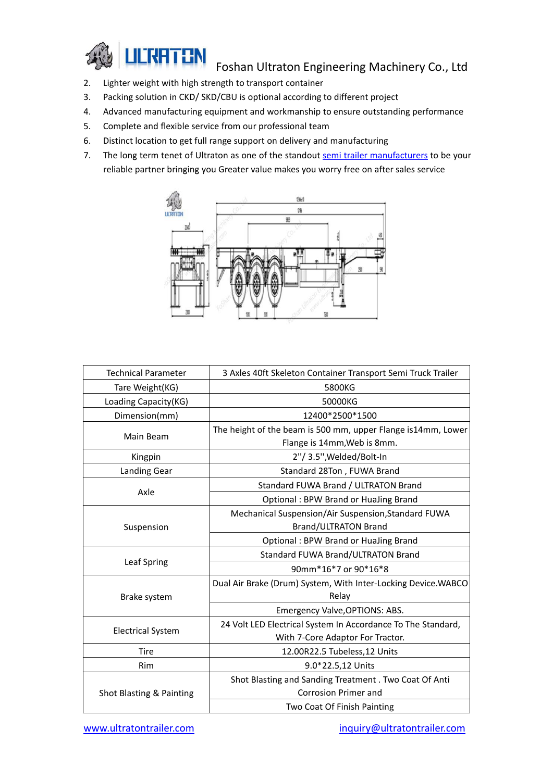

## Foshan Ultraton Engineering Machinery Co., Ltd

- 2. Lighter weight with high strength to transport container
- 3. Packing solution in CKD/ SKD/CBU is optional according to different project
- 4. Advanced manufacturing equipment and workmanship to ensure outstanding performance
- 5. Complete and flexible service from our professional team
- 6. Distinct location to get full range support on delivery and manufacturing
- 7. The long term tenet of Ultraton as one of the standout semi trailer [manufacturers](https://www.ultratontrailer.com/) to be your reliable partner bringing you Greater value makes you worry free on after sales service



| <b>Technical Parameter</b> | 3 Axles 40ft Skeleton Container Transport Semi Truck Trailer  |
|----------------------------|---------------------------------------------------------------|
| Tare Weight(KG)            | 5800KG                                                        |
| Loading Capacity(KG)       | 50000KG                                                       |
| Dimension(mm)              | 12400*2500*1500                                               |
| Main Beam                  | The height of the beam is 500 mm, upper Flange is14mm, Lower  |
|                            | Flange is 14mm, Web is 8mm.                                   |
| Kingpin                    | 2"/ 3.5", Welded/Bolt-In                                      |
| <b>Landing Gear</b>        | Standard 28Ton, FUWA Brand                                    |
| Axle                       | Standard FUWA Brand / ULTRATON Brand                          |
|                            | Optional: BPW Brand or HuaJing Brand                          |
| Suspension                 | Mechanical Suspension/Air Suspension, Standard FUWA           |
|                            | <b>Brand/ULTRATON Brand</b>                                   |
|                            | Optional: BPW Brand or HuaJing Brand                          |
| Leaf Spring                | Standard FUWA Brand/ULTRATON Brand                            |
|                            | 90mm*16*7 or 90*16*8                                          |
| Brake system               | Dual Air Brake (Drum) System, With Inter-Locking Device.WABCO |
|                            | Relay                                                         |
|                            | Emergency Valve, OPTIONS: ABS.                                |
| <b>Electrical System</b>   | 24 Volt LED Electrical System In Accordance To The Standard,  |
|                            | With 7-Core Adaptor For Tractor.                              |
| Tire                       | 12.00R22.5 Tubeless, 12 Units                                 |
| <b>Rim</b>                 | 9.0*22.5,12 Units                                             |
| Shot Blasting & Painting   | Shot Blasting and Sanding Treatment . Two Coat Of Anti        |
|                            | <b>Corrosion Primer and</b>                                   |
|                            | Two Coat Of Finish Painting                                   |

[www.ultratontrailer.com](http://www.ultratontrailer.com) [inquiry@ultratontrailer.com](mailto:inquiry@ultratontrailer.com)